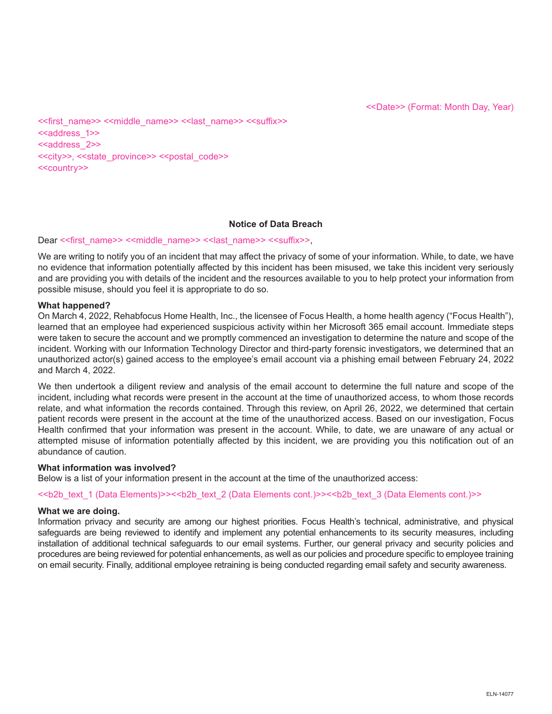<<first\_name>> <<middle\_name>> <<last\_name>> <<suffix>> <<address\_1>> <<address\_2>> <<city>>, <<state\_province>> <<postal\_code>> <<country>>

## **Notice of Data Breach**

# Dear << first\_name>> <<middle\_name>> << last\_name>> << suffix>>,

We are writing to notify you of an incident that may affect the privacy of some of your information. While, to date, we have no evidence that information potentially affected by this incident has been misused, we take this incident very seriously and are providing you with details of the incident and the resources available to you to help protect your information from possible misuse, should you feel it is appropriate to do so.

## **What happened?**

On March 4, 2022, Rehabfocus Home Health, Inc., the licensee of Focus Health, a home health agency ("Focus Health"), learned that an employee had experienced suspicious activity within her Microsoft 365 email account. Immediate steps were taken to secure the account and we promptly commenced an investigation to determine the nature and scope of the incident. Working with our Information Technology Director and third-party forensic investigators, we determined that an unauthorized actor(s) gained access to the employee's email account via a phishing email between February 24, 2022 and March 4, 2022.

We then undertook a diligent review and analysis of the email account to determine the full nature and scope of the incident, including what records were present in the account at the time of unauthorized access, to whom those records relate, and what information the records contained. Through this review, on April 26, 2022, we determined that certain patient records were present in the account at the time of the unauthorized access. Based on our investigation, Focus Health confirmed that your information was present in the account. While, to date, we are unaware of any actual or attempted misuse of information potentially affected by this incident, we are providing you this notification out of an abundance of caution.

## **What information was involved?**

Below is a list of your information present in the account at the time of the unauthorized access:

<<b2b\_text\_1 (Data Elements)>><<b2b\_text\_2 (Data Elements cont.)>><<b2b\_text\_3 (Data Elements cont.)>>

# **What we are doing.**

Information privacy and security are among our highest priorities. Focus Health's technical, administrative, and physical safeguards are being reviewed to identify and implement any potential enhancements to its security measures, including installation of additional technical safeguards to our email systems. Further, our general privacy and security policies and procedures are being reviewed for potential enhancements, as well as our policies and procedure specific to employee training on email security. Finally, additional employee retraining is being conducted regarding email safety and security awareness.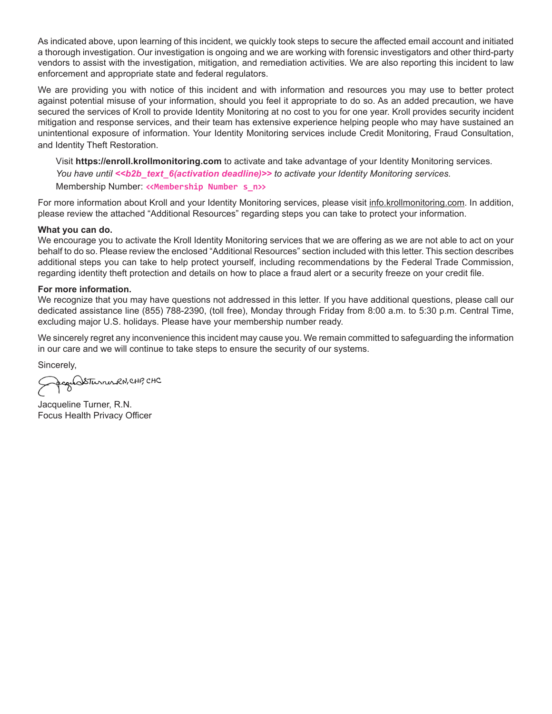As indicated above, upon learning of this incident, we quickly took steps to secure the affected email account and initiated a thorough investigation. Our investigation is ongoing and we are working with forensic investigators and other third-party vendors to assist with the investigation, mitigation, and remediation activities. We are also reporting this incident to law enforcement and appropriate state and federal regulators.

We are providing you with notice of this incident and with information and resources you may use to better protect against potential misuse of your information, should you feel it appropriate to do so. As an added precaution, we have secured the services of Kroll to provide Identity Monitoring at no cost to you for one year. Kroll provides security incident mitigation and response services, and their team has extensive experience helping people who may have sustained an unintentional exposure of information. Your Identity Monitoring services include Credit Monitoring, Fraud Consultation, and Identity Theft Restoration.

Visit **https://enroll.krollmonitoring.com** to activate and take advantage of your Identity Monitoring services. *You have until* << b2b\_text\_6(activation deadline)>> to activate your Identity Monitoring services. Membership Number: **<<Membership Number s\_n>>**

For more information about Kroll and your Identity Monitoring services, please visit info.krollmonitoring.com. In addition, please review the attached "Additional Resources" regarding steps you can take to protect your information.

## **What you can do.**

We encourage you to activate the Kroll Identity Monitoring services that we are offering as we are not able to act on your behalf to do so. Please review the enclosed "Additional Resources" section included with this letter. This section describes additional steps you can take to help protect yourself, including recommendations by the Federal Trade Commission, regarding identity theft protection and details on how to place a fraud alert or a security freeze on your credit file.

# **For more information.**

We recognize that you may have questions not addressed in this letter. If you have additional questions, please call our dedicated assistance line (855) 788-2390, (toll free), Monday through Friday from 8:00 a.m. to 5:30 p.m. Central Time, excluding major U.S. holidays. Please have your membership number ready.

We sincerely regret any inconvenience this incident may cause you. We remain committed to safeguarding the information in our care and we will continue to take steps to ensure the security of our systems.

Sincerely,<br>GrandsTurnerRN, CHP, CHC

Jacqueline Turner, R.N. Focus Health Privacy Officer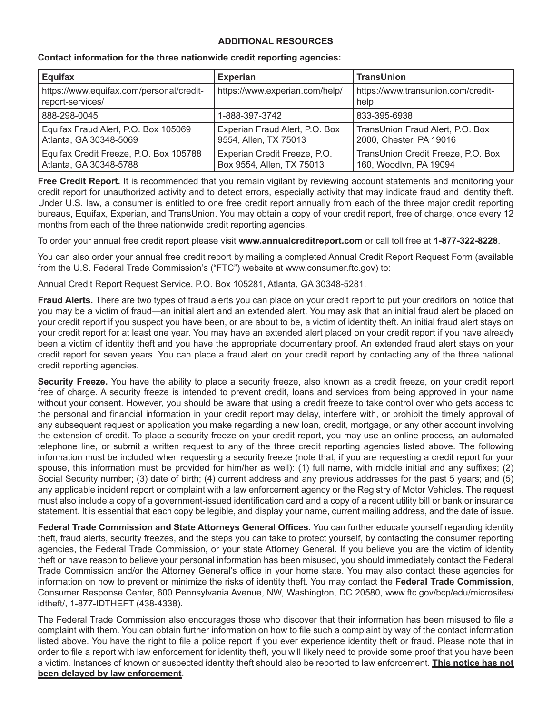# **ADDITIONAL RESOURCES**

# **Contact information for the three nationwide credit reporting agencies:**

| Equifax                                                          | <b>Experian</b>                                           | <b>TransUnion</b>                                            |
|------------------------------------------------------------------|-----------------------------------------------------------|--------------------------------------------------------------|
| https://www.equifax.com/personal/credit-<br>report-services/     | https://www.experian.com/help/                            | https://www.transunion.com/credit-<br>help                   |
| 888-298-0045                                                     | 1-888-397-3742                                            | 833-395-6938                                                 |
| Equifax Fraud Alert, P.O. Box 105069<br>Atlanta, GA 30348-5069   | Experian Fraud Alert, P.O. Box<br>9554, Allen, TX 75013   | TransUnion Fraud Alert, P.O. Box<br>2000, Chester, PA 19016  |
| Equifax Credit Freeze, P.O. Box 105788<br>Atlanta, GA 30348-5788 | Experian Credit Freeze, P.O.<br>Box 9554, Allen, TX 75013 | TransUnion Credit Freeze, P.O. Box<br>160, Woodlyn, PA 19094 |

**Free Credit Report.** It is recommended that you remain vigilant by reviewing account statements and monitoring your credit report for unauthorized activity and to detect errors, especially activity that may indicate fraud and identity theft. Under U.S. law, a consumer is entitled to one free credit report annually from each of the three major credit reporting bureaus, Equifax, Experian, and TransUnion. You may obtain a copy of your credit report, free of charge, once every 12 months from each of the three nationwide credit reporting agencies.

To order your annual free credit report please visit **www.annualcreditreport.com** or call toll free at **1-877-322-8228**.

You can also order your annual free credit report by mailing a completed Annual Credit Report Request Form (available from the U.S. Federal Trade Commission's ("FTC") website at www.consumer.ftc.gov) to:

Annual Credit Report Request Service, P.O. Box 105281, Atlanta, GA 30348-5281.

**Fraud Alerts.** There are two types of fraud alerts you can place on your credit report to put your creditors on notice that you may be a victim of fraud—an initial alert and an extended alert. You may ask that an initial fraud alert be placed on your credit report if you suspect you have been, or are about to be, a victim of identity theft. An initial fraud alert stays on your credit report for at least one year. You may have an extended alert placed on your credit report if you have already been a victim of identity theft and you have the appropriate documentary proof. An extended fraud alert stays on your credit report for seven years. You can place a fraud alert on your credit report by contacting any of the three national credit reporting agencies.

**Security Freeze.** You have the ability to place a security freeze, also known as a credit freeze, on your credit report free of charge. A security freeze is intended to prevent credit, loans and services from being approved in your name without your consent. However, you should be aware that using a credit freeze to take control over who gets access to the personal and financial information in your credit report may delay, interfere with, or prohibit the timely approval of any subsequent request or application you make regarding a new loan, credit, mortgage, or any other account involving the extension of credit. To place a security freeze on your credit report, you may use an online process, an automated telephone line, or submit a written request to any of the three credit reporting agencies listed above. The following information must be included when requesting a security freeze (note that, if you are requesting a credit report for your spouse, this information must be provided for him/her as well): (1) full name, with middle initial and any suffixes; (2) Social Security number; (3) date of birth; (4) current address and any previous addresses for the past 5 years; and (5) any applicable incident report or complaint with a law enforcement agency or the Registry of Motor Vehicles. The request must also include a copy of a government-issued identification card and a copy of a recent utility bill or bank or insurance statement. It is essential that each copy be legible, and display your name, current mailing address, and the date of issue.

**Federal Trade Commission and State Attorneys General Offices.** You can further educate yourself regarding identity theft, fraud alerts, security freezes, and the steps you can take to protect yourself, by contacting the consumer reporting agencies, the Federal Trade Commission, or your state Attorney General. If you believe you are the victim of identity theft or have reason to believe your personal information has been misused, you should immediately contact the Federal Trade Commission and/or the Attorney General's office in your home state. You may also contact these agencies for information on how to prevent or minimize the risks of identity theft. You may contact the **Federal Trade Commission**, Consumer Response Center, 600 Pennsylvania Avenue, NW, Washington, DC 20580, www.ftc.gov/bcp/edu/microsites/ idtheft/, 1-877-IDTHEFT (438-4338).

The Federal Trade Commission also encourages those who discover that their information has been misused to file a complaint with them. You can obtain further information on how to file such a complaint by way of the contact information listed above. You have the right to file a police report if you ever experience identity theft or fraud. Please note that in order to file a report with law enforcement for identity theft, you will likely need to provide some proof that you have been a victim. Instances of known or suspected identity theft should also be reported to law enforcement. **This notice has not been delayed by law enforcement**.